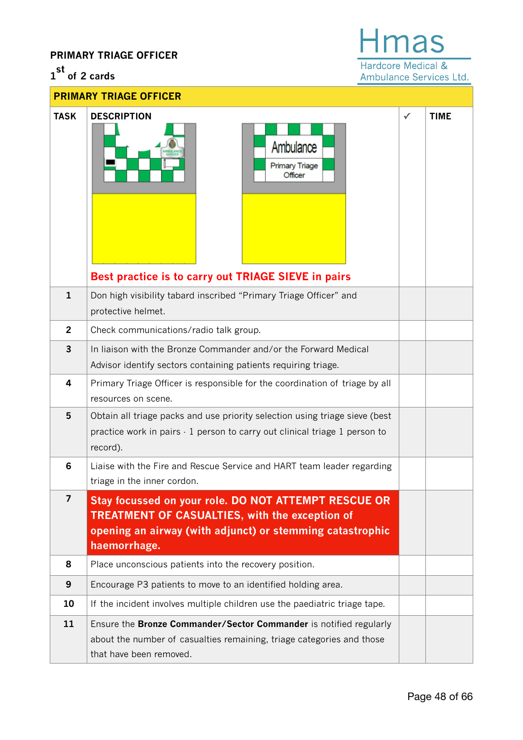## **PRIMARY TRIAGE OFFICER**

## **1 st of 2 cards**

ŀ  $Hmas$ Hardcore Medical &

Ambulance Services Ltd.

| <b>PRIMARY TRIAGE OFFICER</b> |                                                                                                                                                                                            |              |             |  |  |
|-------------------------------|--------------------------------------------------------------------------------------------------------------------------------------------------------------------------------------------|--------------|-------------|--|--|
| <b>TASK</b>                   | <b>DESCRIPTION</b><br>Ambulance<br><b>Primary Triage</b><br>Officer                                                                                                                        | $\checkmark$ | <b>TIME</b> |  |  |
| $\mathbf{1}$                  | Best practice is to carry out TRIAGE SIEVE in pairs<br>Don high visibility tabard inscribed "Primary Triage Officer" and                                                                   |              |             |  |  |
|                               | protective helmet.                                                                                                                                                                         |              |             |  |  |
| $\overline{2}$                | Check communications/radio talk group.                                                                                                                                                     |              |             |  |  |
| $\overline{3}$                | In liaison with the Bronze Commander and/or the Forward Medical<br>Advisor identify sectors containing patients requiring triage.                                                          |              |             |  |  |
| 4                             | Primary Triage Officer is responsible for the coordination of triage by all<br>resources on scene.                                                                                         |              |             |  |  |
| 5                             | Obtain all triage packs and use priority selection using triage sieve (best<br>practice work in pairs - 1 person to carry out clinical triage 1 person to<br>record).                      |              |             |  |  |
| 6                             | Liaise with the Fire and Rescue Service and HART team leader regarding<br>triage in the inner cordon.                                                                                      |              |             |  |  |
| 7                             | Stay focussed on your role. DO NOT ATTEMPT RESCUE OR<br><b>TREATMENT OF CASUALTIES, with the exception of</b><br>opening an airway (with adjunct) or stemming catastrophic<br>haemorrhage. |              |             |  |  |
| 8                             | Place unconscious patients into the recovery position.                                                                                                                                     |              |             |  |  |
| 9                             | Encourage P3 patients to move to an identified holding area.                                                                                                                               |              |             |  |  |
| 10                            | If the incident involves multiple children use the paediatric triage tape.                                                                                                                 |              |             |  |  |
| 11                            | Ensure the Bronze Commander/Sector Commander is notified regularly<br>about the number of casualties remaining, triage categories and those<br>that have been removed.                     |              |             |  |  |